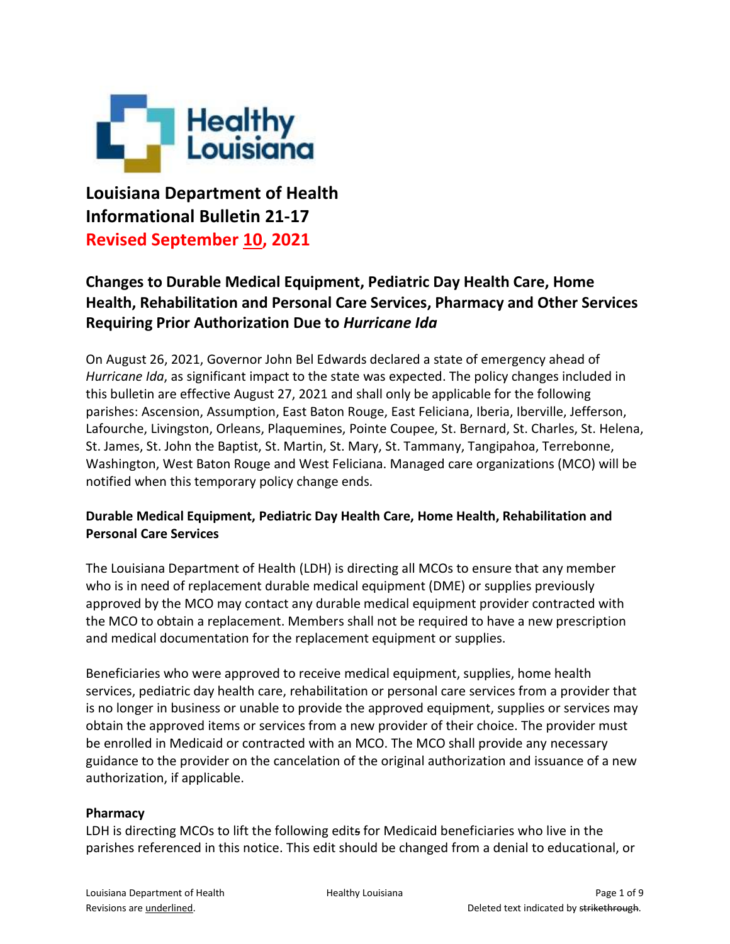

**Louisiana Department of Health Informational Bulletin 21-17 Revised September 10, 2021**

# **Changes to Durable Medical Equipment, Pediatric Day Health Care, Home Health, Rehabilitation and Personal Care Services, Pharmacy and Other Services Requiring Prior Authorization Due to** *Hurricane Ida*

On August 26, 2021, Governor John Bel Edwards declared a state of emergency ahead of *Hurricane Ida*, as significant impact to the state was expected. The policy changes included in this bulletin are effective August 27, 2021 and shall only be applicable for the following parishes: Ascension, Assumption, East Baton Rouge, East Feliciana, Iberia, Iberville, Jefferson, Lafourche, Livingston, Orleans, Plaquemines, Pointe Coupee, St. Bernard, St. Charles, St. Helena, St. James, St. John the Baptist, St. Martin, St. Mary, St. Tammany, Tangipahoa, Terrebonne, Washington, West Baton Rouge and West Feliciana. Managed care organizations (MCO) will be notified when this temporary policy change ends.

### **Durable Medical Equipment, Pediatric Day Health Care, Home Health, Rehabilitation and Personal Care Services**

The Louisiana Department of Health (LDH) is directing all MCOs to ensure that any member who is in need of replacement durable medical equipment (DME) or supplies previously approved by the MCO may contact any durable medical equipment provider contracted with the MCO to obtain a replacement. Members shall not be required to have a new prescription and medical documentation for the replacement equipment or supplies.

Beneficiaries who were approved to receive medical equipment, supplies, home health services, pediatric day health care, rehabilitation or personal care services from a provider that is no longer in business or unable to provide the approved equipment, supplies or services may obtain the approved items or services from a new provider of their choice. The provider must be enrolled in Medicaid or contracted with an MCO. The MCO shall provide any necessary guidance to the provider on the cancelation of the original authorization and issuance of a new authorization, if applicable.

#### **Pharmacy**

LDH is directing MCOs to lift the following edits for Medicaid beneficiaries who live in the parishes referenced in this notice. This edit should be changed from a denial to educational, or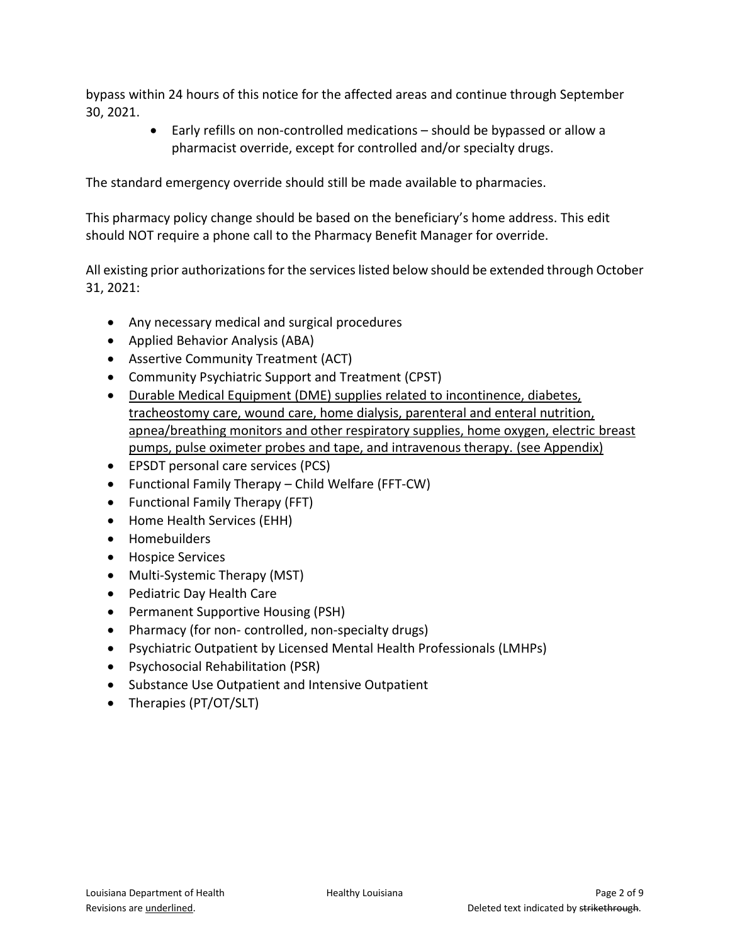bypass within 24 hours of this notice for the affected areas and continue through September 30, 2021.

> Early refills on non-controlled medications – should be bypassed or allow a pharmacist override, except for controlled and/or specialty drugs.

The standard emergency override should still be made available to pharmacies.

This pharmacy policy change should be based on the beneficiary's home address. This edit should NOT require a phone call to the Pharmacy Benefit Manager for override.

All existing prior authorizations for the services listed below should be extended through October 31, 2021:

- Any necessary medical and surgical procedures
- Applied Behavior Analysis (ABA)
- Assertive Community Treatment (ACT)
- Community Psychiatric Support and Treatment (CPST)
- Durable Medical Equipment (DME) supplies related to incontinence, diabetes, tracheostomy care, wound care, home dialysis, parenteral and enteral nutrition, apnea/breathing monitors and other respiratory supplies, home oxygen, electric breast pumps, pulse oximeter probes and tape, and intravenous therapy. (see Appendix)
- EPSDT personal care services (PCS)
- Functional Family Therapy Child Welfare (FFT-CW)
- Functional Family Therapy (FFT)
- Home Health Services (EHH)
- Homebuilders
- **•** Hospice Services
- Multi-Systemic Therapy (MST)
- Pediatric Day Health Care
- Permanent Supportive Housing (PSH)
- Pharmacy (for non- controlled, non-specialty drugs)
- Psychiatric Outpatient by Licensed Mental Health Professionals (LMHPs)
- Psychosocial Rehabilitation (PSR)
- Substance Use Outpatient and Intensive Outpatient
- Therapies (PT/OT/SLT)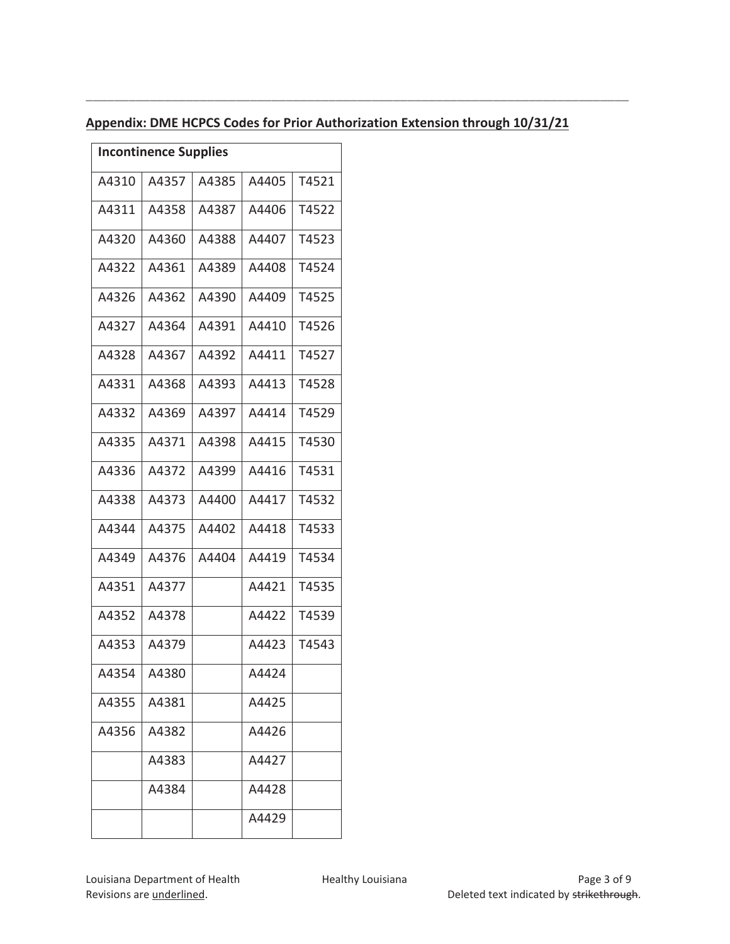| <b>Incontinence Supplies</b> |       |       |       |       |
|------------------------------|-------|-------|-------|-------|
| A4310                        | A4357 | A4385 | A4405 | T4521 |
| A4311                        | A4358 | A4387 | A4406 | T4522 |
| A4320                        | A4360 | A4388 | A4407 | T4523 |
| A4322                        | A4361 | A4389 | A4408 | T4524 |
| A4326                        | A4362 | A4390 | A4409 | T4525 |
| A4327                        | A4364 | A4391 | A4410 | T4526 |
| A4328                        | A4367 | A4392 | A4411 | T4527 |
| A4331                        | A4368 | A4393 | A4413 | T4528 |
| A4332                        | A4369 | A4397 | A4414 | T4529 |
| A4335                        | A4371 | A4398 | A4415 | T4530 |
| A4336                        | A4372 | A4399 | A4416 | T4531 |
| A4338                        | A4373 | A4400 | A4417 | T4532 |
| A4344                        | A4375 | A4402 | A4418 | T4533 |
| A4349                        | A4376 | A4404 | A4419 | T4534 |
| A4351                        | A4377 |       | A4421 | T4535 |
| A4352                        | A4378 |       | A4422 | T4539 |
| A4353                        | A4379 |       | A4423 | T4543 |
| A4354                        | A4380 |       | A4424 |       |
| A4355                        | A4381 |       | A4425 |       |
| A4356                        | A4382 |       | A4426 |       |
|                              | A4383 |       | A4427 |       |
|                              | A4384 |       | A4428 |       |
|                              |       |       | A4429 |       |

## **Appendix: DME HCPCS Codes for Prior Authorization Extension through 10/31/21**

**\_\_\_\_\_\_\_\_\_\_\_\_\_\_\_\_\_\_\_\_\_\_\_\_\_\_\_\_\_\_\_\_\_\_\_\_\_\_\_\_\_\_\_\_\_\_\_\_\_\_\_\_\_\_\_\_\_\_\_\_\_\_\_\_\_\_\_\_\_\_\_\_\_\_\_\_**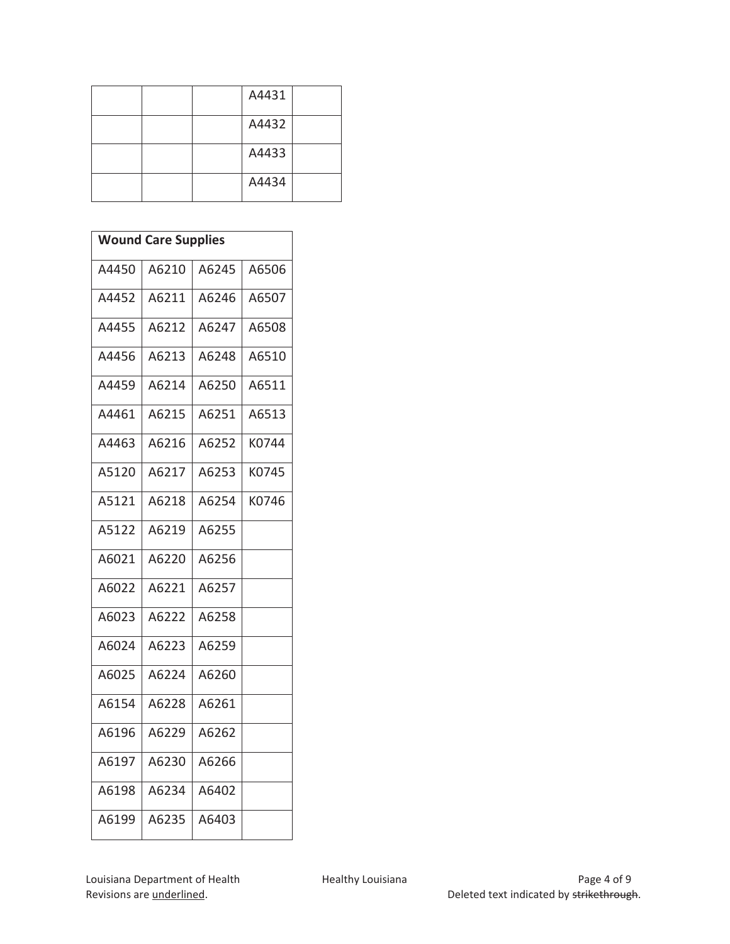|  | A4431 |  |
|--|-------|--|
|  | A4432 |  |
|  | A4433 |  |
|  | A4434 |  |

| <b>Wound Care Supplies</b> |       |       |       |
|----------------------------|-------|-------|-------|
|                            |       |       |       |
| A4450                      | A6210 | A6245 | A6506 |
| A4452                      | A6211 | A6246 | A6507 |
| A4455                      | A6212 | A6247 | A6508 |
| A4456                      | A6213 | A6248 | A6510 |
| A4459                      | A6214 | A6250 | A6511 |
| A4461                      | A6215 | A6251 | A6513 |
| A4463                      | A6216 | A6252 | K0744 |
| A5120                      | A6217 | A6253 | K0745 |
| A5121                      | A6218 | A6254 | K0746 |
| A5122                      | A6219 | A6255 |       |
| A6021                      | A6220 | A6256 |       |
| A6022                      | A6221 | A6257 |       |
| A6023                      | A6222 | A6258 |       |
| A6024                      | A6223 | A6259 |       |
| A6025                      | A6224 | A6260 |       |
| A6154                      | A6228 | A6261 |       |
| A6196                      | A6229 | A6262 |       |
| A6197                      | A6230 | A6266 |       |
| A6198                      | A6234 | A6402 |       |
| A6199                      | A6235 | A6403 |       |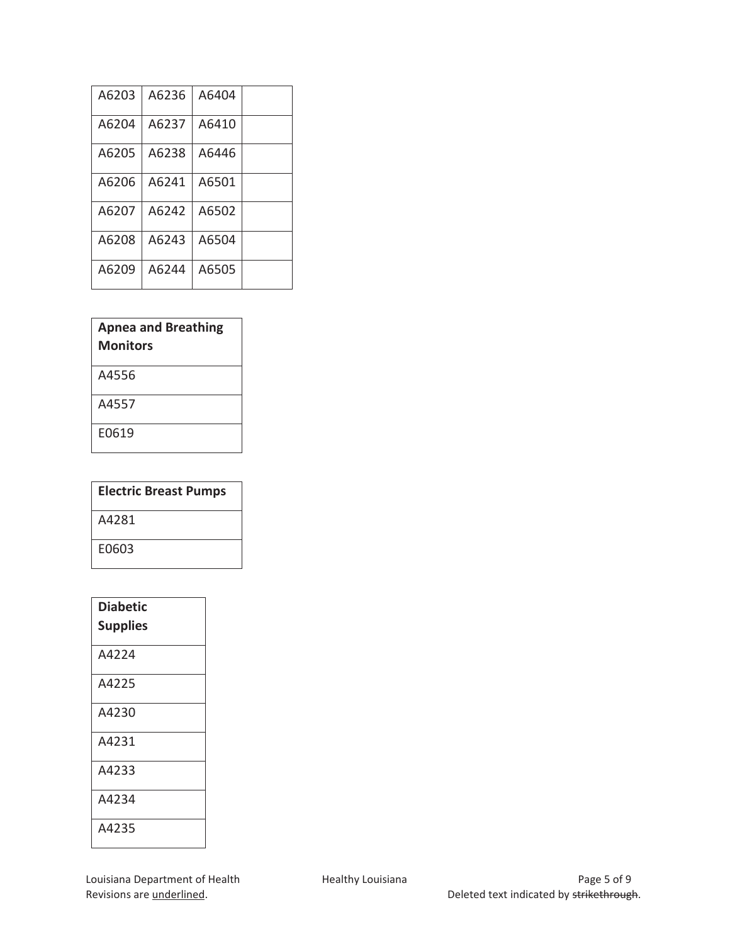| A6203 | A6236 | A6404 |  |
|-------|-------|-------|--|
| A6204 | A6237 | A6410 |  |
| A6205 | A6238 | A6446 |  |
| A6206 | A6241 | A6501 |  |
| A6207 | A6242 | A6502 |  |
| A6208 | A6243 | A6504 |  |
| A6209 | A6244 | A6505 |  |

| <b>Apnea and Breathing</b><br>Monitors |
|----------------------------------------|
| A4556                                  |
| A4557                                  |
| E0619                                  |
|                                        |

| <b>Electric Breast Pumps</b> |
|------------------------------|
| A4281                        |
| E0603                        |

| <b>Diabetic</b><br><b>Supplies</b> |
|------------------------------------|
| A4224                              |
| A4225                              |
| A4230                              |
| A4231                              |
| A4233                              |
| A4234                              |
| A4235                              |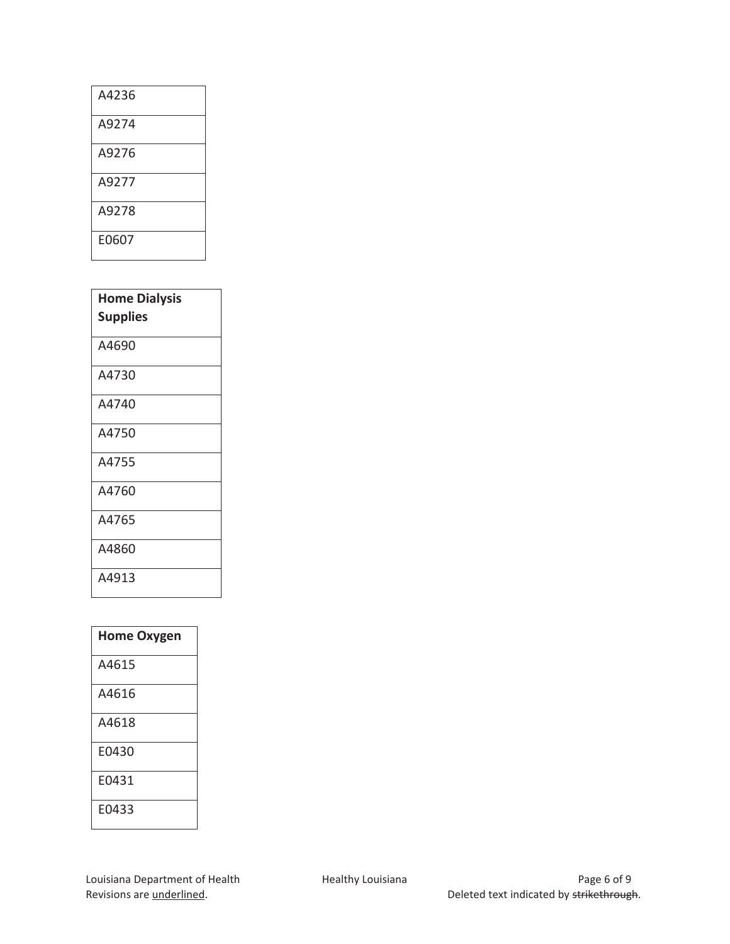| A4236 |
|-------|
| A9274 |
| A9276 |
| A9277 |
| A9278 |
| E0607 |

| <b>Home Dialysis</b><br><b>Supplies</b> |
|-----------------------------------------|
| A4690                                   |
| A4730                                   |
| A4740                                   |
| A4750                                   |
| A4755                                   |
| A4760                                   |
| A4765                                   |
| A4860                                   |
| A4913                                   |

| <b>Home Oxygen</b> |
|--------------------|
| A4615              |
| A4616              |
| A4618              |
| E0430              |
| E0431              |
| E0433              |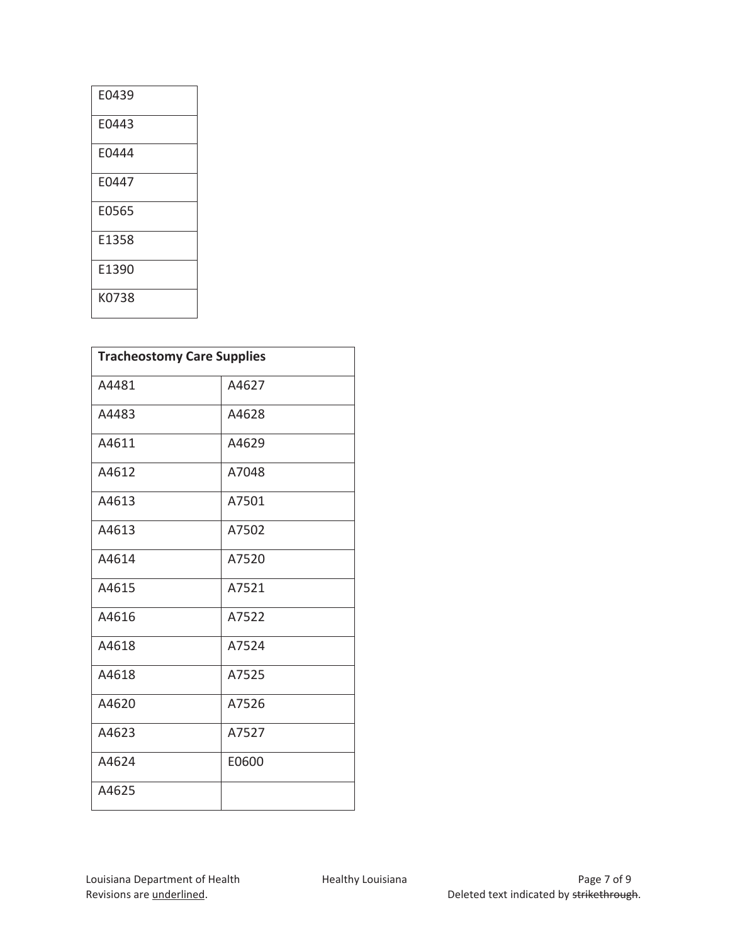| E0439 |
|-------|
| E0443 |
| E0444 |
| E0447 |
| E0565 |
| E1358 |
| E1390 |
| K0738 |

| <b>Tracheostomy Care Supplies</b> |       |  |
|-----------------------------------|-------|--|
| A4481                             | A4627 |  |
| A4483                             | A4628 |  |
| A4611                             | A4629 |  |
| A4612                             | A7048 |  |
| A4613                             | A7501 |  |
| A4613                             | A7502 |  |
| A4614                             | A7520 |  |
| A4615                             | A7521 |  |
| A4616                             | A7522 |  |
| A4618                             | A7524 |  |
| A4618                             | A7525 |  |
| A4620                             | A7526 |  |
| A4623                             | A7527 |  |
| A4624                             | E0600 |  |
| A4625                             |       |  |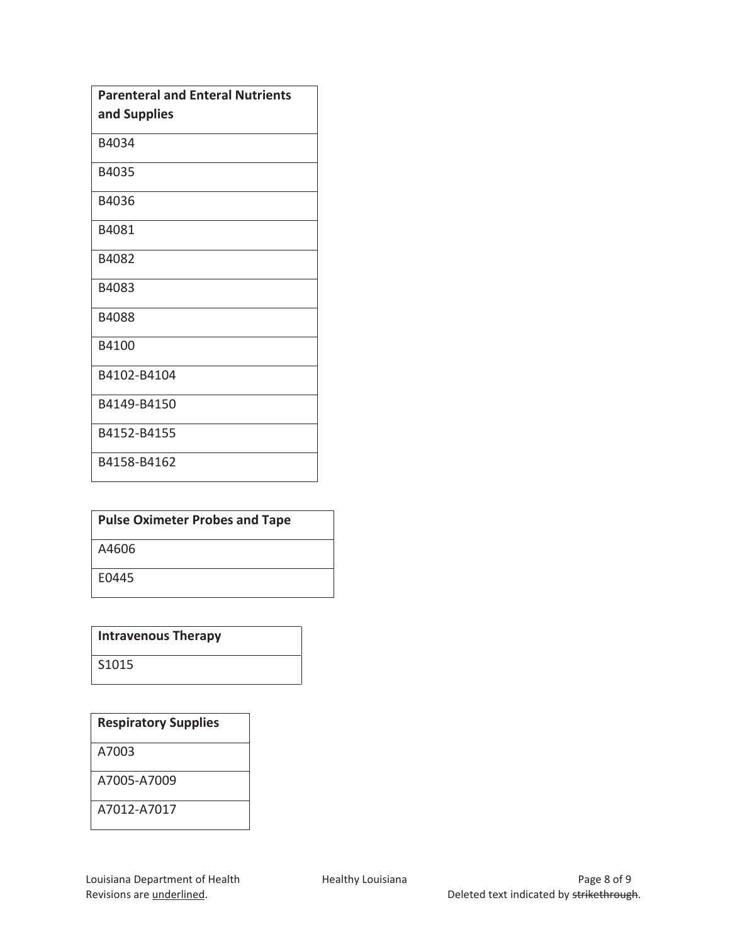| <b>Parenteral and Enteral Nutrients</b> |
|-----------------------------------------|
| and Supplies                            |
| B4034                                   |
| B4035                                   |
| B4036                                   |
| B4081                                   |
| B4082                                   |
| B4083                                   |
| B4088                                   |
| B4100                                   |
| B4102-B4104                             |
| B4149-B4150                             |
| B4152-B4155                             |
| B4158-B4162                             |

| <b>Pulse Oximeter Probes and Tape</b> |
|---------------------------------------|
| A4606                                 |
| E0445                                 |

**Intravenous Therapy** 

S1015

# **Respiratory Supplies**

A7003

A7005-A7009

A7012-A7017